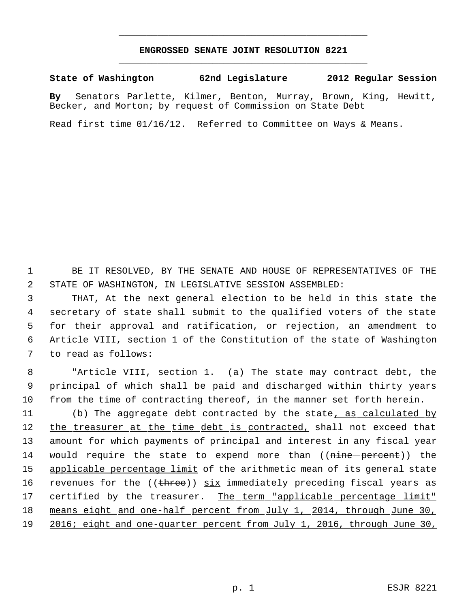## **ENGROSSED SENATE JOINT RESOLUTION 8221** \_\_\_\_\_\_\_\_\_\_\_\_\_\_\_\_\_\_\_\_\_\_\_\_\_\_\_\_\_\_\_\_\_\_\_\_\_\_\_\_\_\_\_\_\_

\_\_\_\_\_\_\_\_\_\_\_\_\_\_\_\_\_\_\_\_\_\_\_\_\_\_\_\_\_\_\_\_\_\_\_\_\_\_\_\_\_\_\_\_\_

**State of Washington 62nd Legislature 2012 Regular Session**

**By** Senators Parlette, Kilmer, Benton, Murray, Brown, King, Hewitt, Becker, and Morton; by request of Commission on State Debt

Read first time 01/16/12. Referred to Committee on Ways & Means.

 1 BE IT RESOLVED, BY THE SENATE AND HOUSE OF REPRESENTATIVES OF THE 2 STATE OF WASHINGTON, IN LEGISLATIVE SESSION ASSEMBLED:

 THAT, At the next general election to be held in this state the secretary of state shall submit to the qualified voters of the state for their approval and ratification, or rejection, an amendment to Article VIII, section 1 of the Constitution of the state of Washington to read as follows:

 8 "Article VIII, section 1. (a) The state may contract debt, the 9 principal of which shall be paid and discharged within thirty years 10 from the time of contracting thereof, in the manner set forth herein.

11 (b) The aggregate debt contracted by the state, as calculated by 12 the treasurer at the time debt is contracted, shall not exceed that 13 amount for which payments of principal and interest in any fiscal year 14 would require the state to expend more than ((nine percent)) the 15 applicable percentage limit of the arithmetic mean of its general state 16 revenues for the ((three)) six immediately preceding fiscal years as 17 certified by the treasurer. The term "applicable percentage limit" 18 means eight and one-half percent from July 1, 2014, through June 30, 19 2016; eight and one-quarter percent from July 1, 2016, through June 30,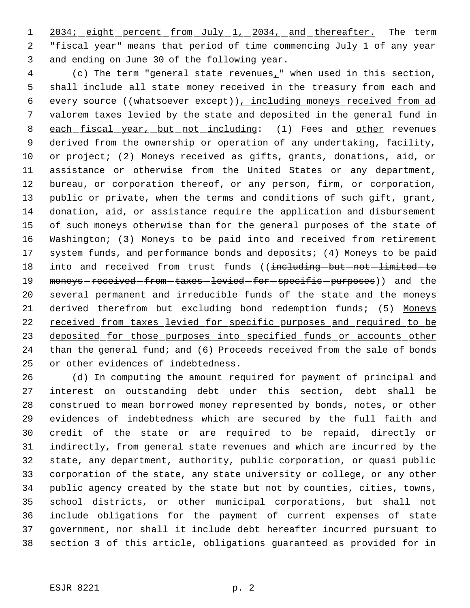1 2034; eight percent from July 1, 2034, and thereafter. The term "fiscal year" means that period of time commencing July 1 of any year and ending on June 30 of the following year.

 (c) The term "general state revenues," when used in this section, shall include all state money received in the treasury from each and every source ((whatsoever except)), including moneys received from ad valorem taxes levied by the state and deposited in the general fund in 8 each fiscal year, but not including: (1) Fees and other revenues derived from the ownership or operation of any undertaking, facility, or project; (2) Moneys received as gifts, grants, donations, aid, or assistance or otherwise from the United States or any department, bureau, or corporation thereof, or any person, firm, or corporation, public or private, when the terms and conditions of such gift, grant, donation, aid, or assistance require the application and disbursement of such moneys otherwise than for the general purposes of the state of Washington; (3) Moneys to be paid into and received from retirement system funds, and performance bonds and deposits; (4) Moneys to be paid 18 into and received from trust funds ((including-but-not-limited-to 19 moneys-received-from-taxes-levied-for-specific-purposes)) and the several permanent and irreducible funds of the state and the moneys 21 derived therefrom but excluding bond redemption funds; (5) Moneys received from taxes levied for specific purposes and required to be 23 deposited for those purposes into specified funds or accounts other 24 than the general fund; and (6) Proceeds received from the sale of bonds or other evidences of indebtedness.

 (d) In computing the amount required for payment of principal and interest on outstanding debt under this section, debt shall be construed to mean borrowed money represented by bonds, notes, or other evidences of indebtedness which are secured by the full faith and credit of the state or are required to be repaid, directly or indirectly, from general state revenues and which are incurred by the state, any department, authority, public corporation, or quasi public corporation of the state, any state university or college, or any other public agency created by the state but not by counties, cities, towns, school districts, or other municipal corporations, but shall not include obligations for the payment of current expenses of state government, nor shall it include debt hereafter incurred pursuant to section 3 of this article, obligations guaranteed as provided for in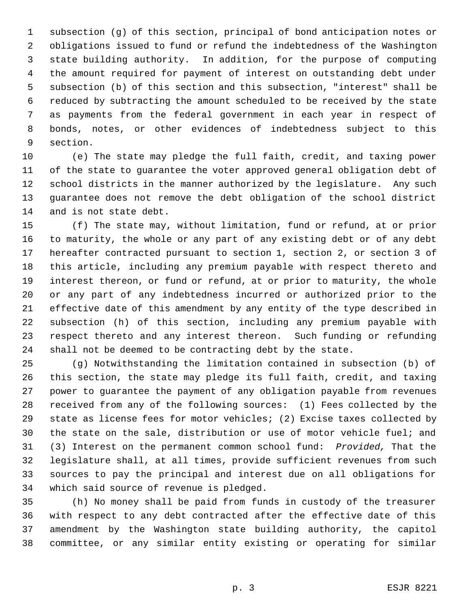subsection (g) of this section, principal of bond anticipation notes or obligations issued to fund or refund the indebtedness of the Washington state building authority. In addition, for the purpose of computing the amount required for payment of interest on outstanding debt under subsection (b) of this section and this subsection, "interest" shall be reduced by subtracting the amount scheduled to be received by the state as payments from the federal government in each year in respect of bonds, notes, or other evidences of indebtedness subject to this section.

 (e) The state may pledge the full faith, credit, and taxing power of the state to guarantee the voter approved general obligation debt of school districts in the manner authorized by the legislature. Any such guarantee does not remove the debt obligation of the school district and is not state debt.

 (f) The state may, without limitation, fund or refund, at or prior to maturity, the whole or any part of any existing debt or of any debt hereafter contracted pursuant to section 1, section 2, or section 3 of this article, including any premium payable with respect thereto and interest thereon, or fund or refund, at or prior to maturity, the whole or any part of any indebtedness incurred or authorized prior to the effective date of this amendment by any entity of the type described in subsection (h) of this section, including any premium payable with respect thereto and any interest thereon. Such funding or refunding shall not be deemed to be contracting debt by the state.

 (g) Notwithstanding the limitation contained in subsection (b) of this section, the state may pledge its full faith, credit, and taxing power to guarantee the payment of any obligation payable from revenues received from any of the following sources: (1) Fees collected by the state as license fees for motor vehicles; (2) Excise taxes collected by the state on the sale, distribution or use of motor vehicle fuel; and (3) Interest on the permanent common school fund: *Provided,* That the legislature shall, at all times, provide sufficient revenues from such sources to pay the principal and interest due on all obligations for which said source of revenue is pledged.

 (h) No money shall be paid from funds in custody of the treasurer with respect to any debt contracted after the effective date of this amendment by the Washington state building authority, the capitol committee, or any similar entity existing or operating for similar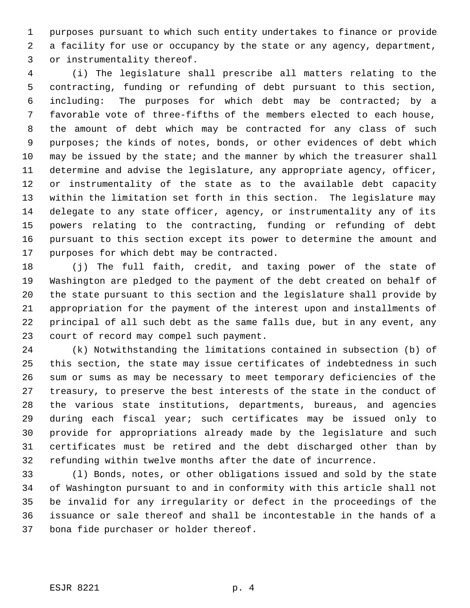purposes pursuant to which such entity undertakes to finance or provide a facility for use or occupancy by the state or any agency, department, or instrumentality thereof.

 (i) The legislature shall prescribe all matters relating to the contracting, funding or refunding of debt pursuant to this section, including: The purposes for which debt may be contracted; by a favorable vote of three-fifths of the members elected to each house, the amount of debt which may be contracted for any class of such purposes; the kinds of notes, bonds, or other evidences of debt which may be issued by the state; and the manner by which the treasurer shall determine and advise the legislature, any appropriate agency, officer, or instrumentality of the state as to the available debt capacity within the limitation set forth in this section. The legislature may delegate to any state officer, agency, or instrumentality any of its powers relating to the contracting, funding or refunding of debt pursuant to this section except its power to determine the amount and purposes for which debt may be contracted.

 (j) The full faith, credit, and taxing power of the state of Washington are pledged to the payment of the debt created on behalf of the state pursuant to this section and the legislature shall provide by appropriation for the payment of the interest upon and installments of principal of all such debt as the same falls due, but in any event, any court of record may compel such payment.

 (k) Notwithstanding the limitations contained in subsection (b) of this section, the state may issue certificates of indebtedness in such sum or sums as may be necessary to meet temporary deficiencies of the treasury, to preserve the best interests of the state in the conduct of the various state institutions, departments, bureaus, and agencies during each fiscal year; such certificates may be issued only to provide for appropriations already made by the legislature and such certificates must be retired and the debt discharged other than by refunding within twelve months after the date of incurrence.

 (l) Bonds, notes, or other obligations issued and sold by the state of Washington pursuant to and in conformity with this article shall not be invalid for any irregularity or defect in the proceedings of the issuance or sale thereof and shall be incontestable in the hands of a bona fide purchaser or holder thereof.